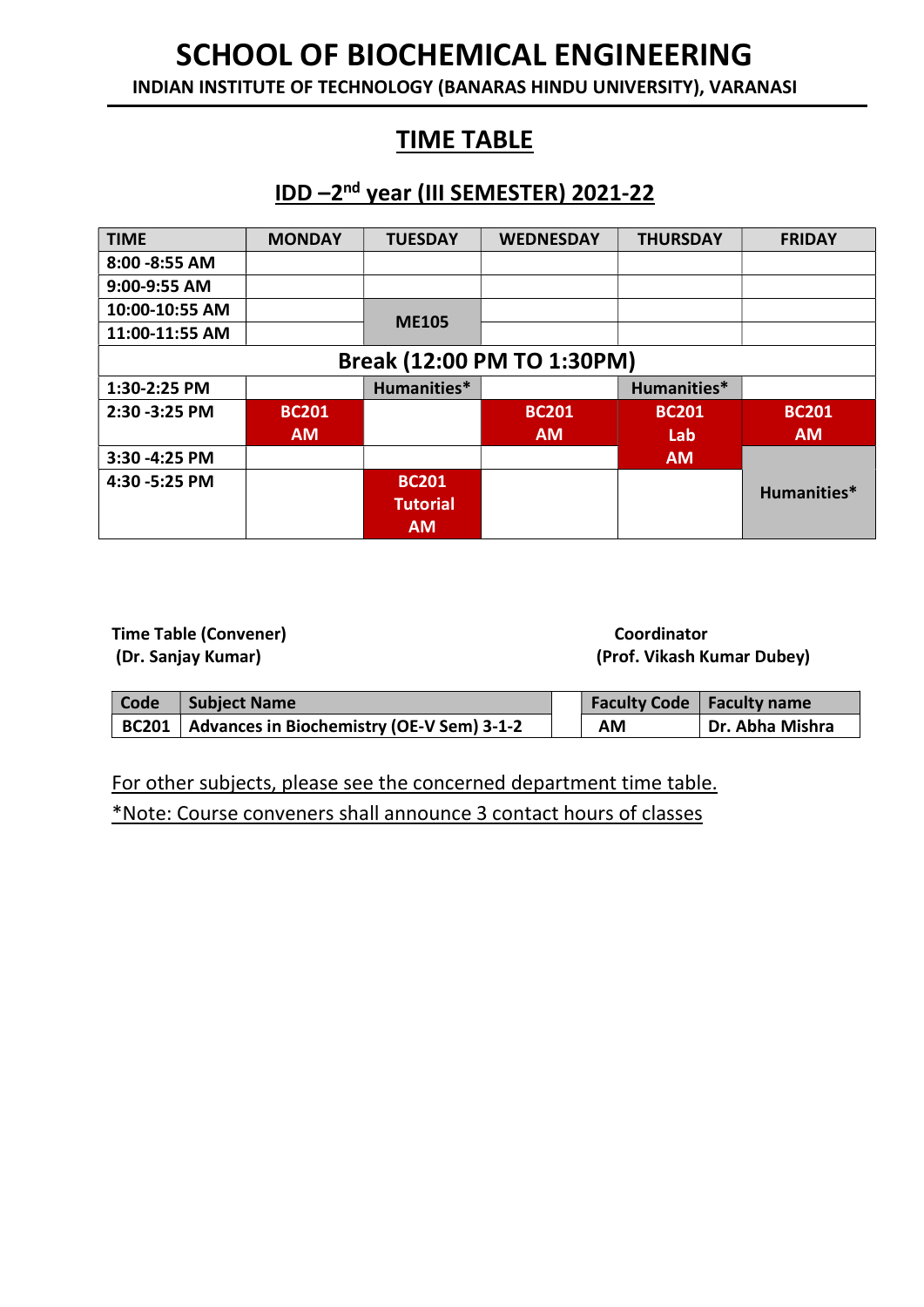INDIAN INSTITUTE OF TECHNOLOGY (BANARAS HINDU UNIVERSITY), VARANASI

### TIME TABLE

### IDD –2nd year (III SEMESTER) 2021-22

| <b>TIME</b>                | <b>MONDAY</b> | <b>TUESDAY</b>  | <b>WEDNESDAY</b> | <b>THURSDAY</b> | <b>FRIDAY</b> |  |
|----------------------------|---------------|-----------------|------------------|-----------------|---------------|--|
| 8:00 - 8:55 AM             |               |                 |                  |                 |               |  |
| 9:00-9:55 AM               |               |                 |                  |                 |               |  |
| 10:00-10:55 AM             |               | <b>ME105</b>    |                  |                 |               |  |
| 11:00-11:55 AM             |               |                 |                  |                 |               |  |
| Break (12:00 PM TO 1:30PM) |               |                 |                  |                 |               |  |
| 1:30-2:25 PM               |               | Humanities*     |                  | Humanities*     |               |  |
| 2:30 - 3:25 PM             | <b>BC201</b>  |                 | <b>BC201</b>     | <b>BC201</b>    | <b>BC201</b>  |  |
|                            | <b>AM</b>     |                 | <b>AM</b>        | Lab             | <b>AM</b>     |  |
| 3:30 -4:25 PM              |               |                 |                  | <b>AM</b>       |               |  |
| 4:30 -5:25 PM              |               | <b>BC201</b>    |                  |                 | Humanities*   |  |
|                            |               | <b>Tutorial</b> |                  |                 |               |  |
|                            |               | <b>AM</b>       |                  |                 |               |  |

Time Table (Convener) and Coordinator Coordinator

(Dr. Sanjay Kumar) (Prof. Vikash Kumar Dubey)

| Code | <b>Subject Name</b>                               |  |    | <b>Faculty Code   Faculty name</b> |
|------|---------------------------------------------------|--|----|------------------------------------|
|      | BC201   Advances in Biochemistry (OE-V Sem) 3-1-2 |  | ΑM | Dr. Abha Mishra                    |

For other subjects, please see the concerned department time table. \*Note: Course conveners shall announce 3 contact hours of classes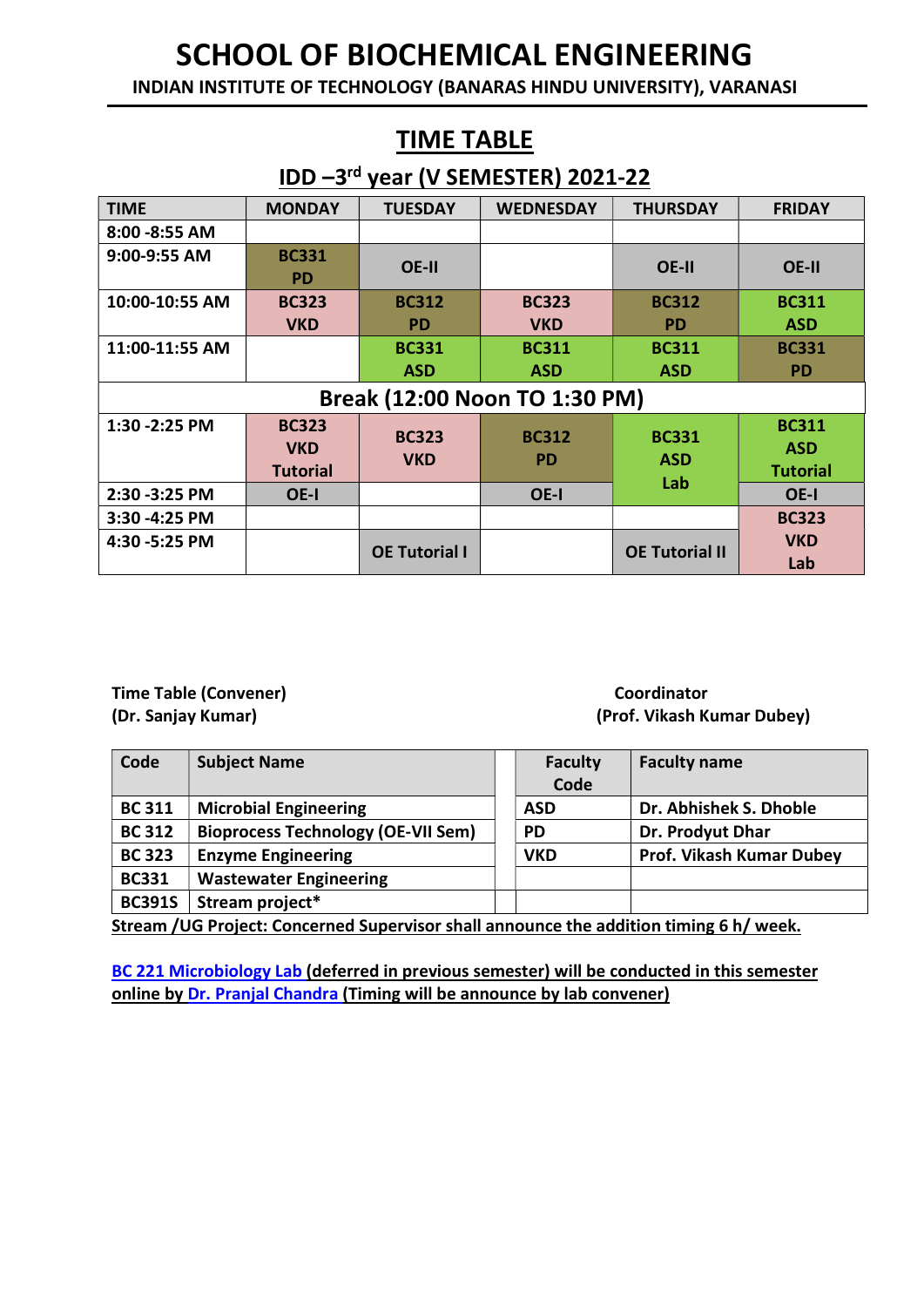INDIAN INSTITUTE OF TECHNOLOGY (BANARAS HINDU UNIVERSITY), VARANASI

#### IDD –3rd year (V SEMESTER) 2021-22 TIME MONDAY TUESDAY WEDNESDAY THURSDAY FRIDAY 8:00 -8:55 AM 9:00-9:55 AM BC331 PD OE-II OE-II OE-II OE-II OE-II<br>PD 10:00-10:55 AM BC323 VKD BC312 PD BC323 VKD BC312 PD BC311 ASD  $11:00-11:55$  AM  $\qquad \qquad$  BC331 ASD BC311 ASD BC311 ASD BC331 PD Break (12:00 Noon TO 1:30 PM) 1:30 -2:25 PM BC323 VKD **Tutorial** BC323 **VKD** BC312 PD BC331 ASD Lab BC311 ASD **Tutorial** 2:30 -3:25 PM OE-I OE-I OE-I  $3:30 - 4:25$  PM  $\qquad \qquad$ VKD Lab 4:30 -5:25 PM  $\begin{array}{|c|c|c|c|c|}\n\hline\n\end{array}$  OE Tutorial II OE Tutorial II

# Time Table (Convener) and The Table (Convener) coordinator

# (Dr. Sanjay Kumar) (Prof. Vikash Kumar Dubey)

| <b>Subject Name</b>                       | <b>Faculty</b> | <b>Faculty name</b>      |
|-------------------------------------------|----------------|--------------------------|
|                                           | Code           |                          |
| <b>Microbial Engineering</b>              | <b>ASD</b>     | Dr. Abhishek S. Dhoble   |
| <b>Bioprocess Technology (OE-VII Sem)</b> | <b>PD</b>      | Dr. Prodyut Dhar         |
| <b>Enzyme Engineering</b>                 | <b>VKD</b>     | Prof. Vikash Kumar Dubey |
| <b>Wastewater Engineering</b>             |                |                          |
| Stream project*                           |                |                          |
|                                           |                |                          |

Stream /UG Project: Concerned Supervisor shall announce the addition timing 6 h/ week.

BC 221 Microbiology Lab (deferred in previous semester) will be conducted in this semester online by Dr. Pranjal Chandra (Timing will be announce by lab convener)

### TIME TABLE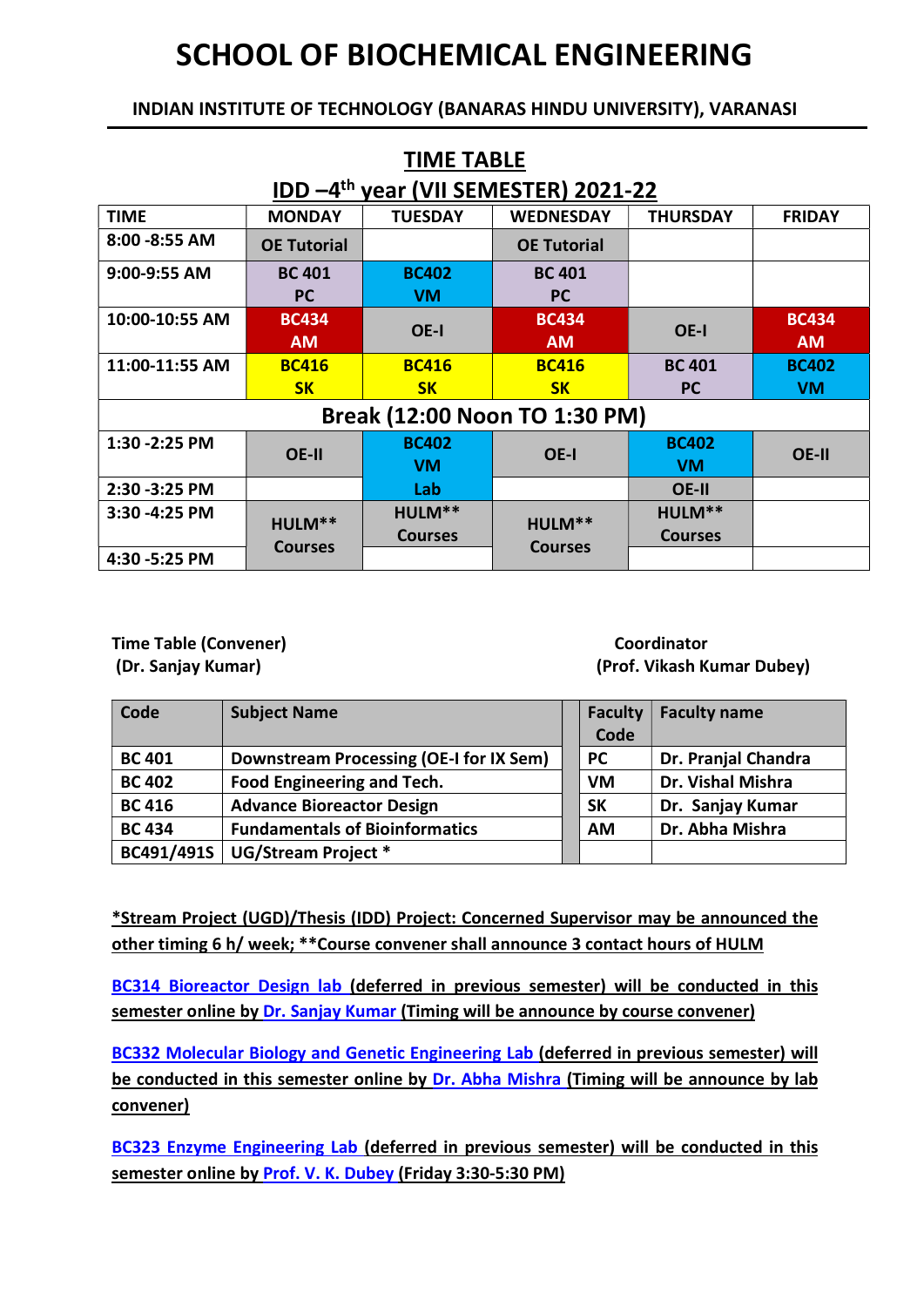#### INDIAN INSTITUTE OF TECHNOLOGY (BANARAS HINDU UNIVERSITY), VARANASI

TIME TABLE

| .  . <i>.</i>                                   |                               |                |                    |                 |               |  |  |  |
|-------------------------------------------------|-------------------------------|----------------|--------------------|-----------------|---------------|--|--|--|
| IDD-4 <sup>th</sup> year (VII SEMESTER) 2021-22 |                               |                |                    |                 |               |  |  |  |
| <b>TIME</b>                                     | <b>MONDAY</b>                 | <b>TUESDAY</b> | <b>WEDNESDAY</b>   | <b>THURSDAY</b> | <b>FRIDAY</b> |  |  |  |
| 8:00 - 8:55 AM                                  | <b>OE Tutorial</b>            |                | <b>OE Tutorial</b> |                 |               |  |  |  |
| 9:00-9:55 AM                                    | <b>BC 401</b>                 | <b>BC402</b>   | <b>BC 401</b>      |                 |               |  |  |  |
|                                                 | <b>PC</b>                     | <b>VM</b>      | <b>PC</b>          |                 |               |  |  |  |
| 10:00-10:55 AM                                  | <b>BC434</b>                  |                | <b>BC434</b>       |                 | <b>BC434</b>  |  |  |  |
|                                                 | <b>AM</b>                     | OE-I           | <b>AM</b>          | OE-I            | <b>AM</b>     |  |  |  |
| 11:00-11:55 AM                                  | <b>BC416</b>                  | <b>BC416</b>   | <b>BC416</b>       | <b>BC 401</b>   | <b>BC402</b>  |  |  |  |
|                                                 | <b>SK</b>                     | <b>SK</b>      | <b>SK</b>          | <b>PC</b>       | <b>VM</b>     |  |  |  |
|                                                 | Break (12:00 Noon TO 1:30 PM) |                |                    |                 |               |  |  |  |
| 1:30 - 2:25 PM                                  | OE-II                         | <b>BC402</b>   | OE-I               | <b>BC402</b>    | OE-II         |  |  |  |
|                                                 |                               | <b>VM</b>      |                    | <b>VM</b>       |               |  |  |  |
| 2:30 - 3:25 PM                                  |                               | Lab            |                    | OE-II           |               |  |  |  |
| 3:30 -4:25 PM                                   | HULM**                        | HULM**         | HULM**             | HULM**          |               |  |  |  |
|                                                 |                               | <b>Courses</b> |                    | <b>Courses</b>  |               |  |  |  |
| 4:30 - 5:25 PM                                  | <b>Courses</b>                |                | <b>Courses</b>     |                 |               |  |  |  |

Time Table (Convener) and The Table (Convener) coordinator

(Dr. Sanjay Kumar) (Prof. Vikash Kumar Dubey)

| Code          | <b>Subject Name</b>                     | <b>Faculty</b> | <b>Faculty name</b> |
|---------------|-----------------------------------------|----------------|---------------------|
|               |                                         | Code           |                     |
| <b>BC 401</b> | Downstream Processing (OE-I for IX Sem) | <b>PC</b>      | Dr. Pranjal Chandra |
| <b>BC 402</b> | Food Engineering and Tech.              | VM             | Dr. Vishal Mishra   |
| <b>BC 416</b> | <b>Advance Bioreactor Design</b>        | <b>SK</b>      | Dr. Sanjay Kumar    |
| <b>BC 434</b> | <b>Fundamentals of Bioinformatics</b>   | <b>AM</b>      | Dr. Abha Mishra     |
|               | BC491/491S   UG/Stream Project *        |                |                     |

\*Stream Project (UGD)/Thesis (IDD) Project: Concerned Supervisor may be announced the other timing 6 h/ week; \*\*Course convener shall announce 3 contact hours of HULM

BC314 Bioreactor Design lab (deferred in previous semester) will be conducted in this semester online by Dr. Sanjay Kumar (Timing will be announce by course convener)

BC332 Molecular Biology and Genetic Engineering Lab (deferred in previous semester) will be conducted in this semester online by Dr. Abha Mishra (Timing will be announce by lab convener)

BC323 Enzyme Engineering Lab (deferred in previous semester) will be conducted in this semester online by Prof. V. K. Dubey (Friday 3:30-5:30 PM)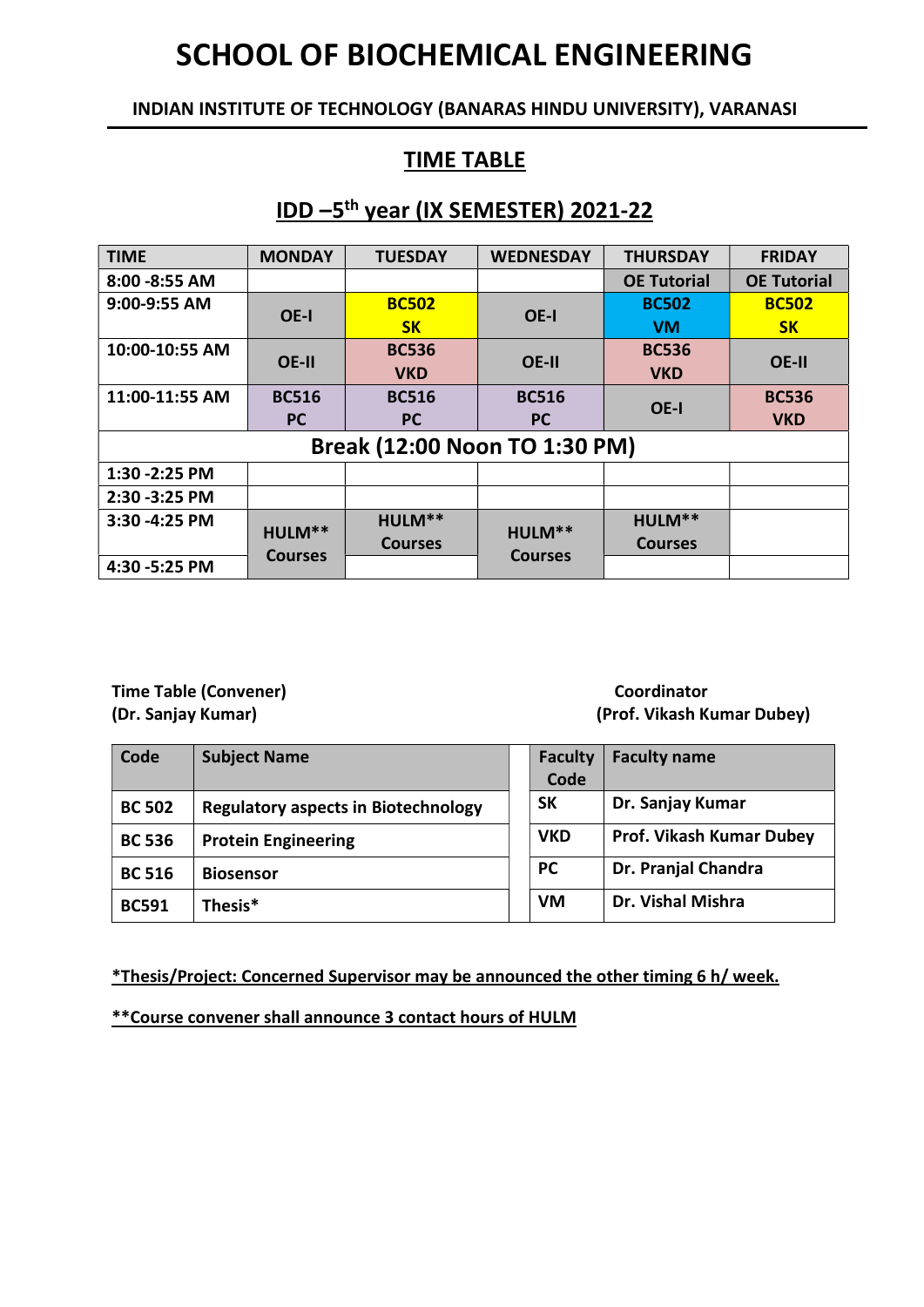INDIAN INSTITUTE OF TECHNOLOGY (BANARAS HINDU UNIVERSITY), VARANASI

### TIME TABLE

#### IDD –5th year (IX SEMESTER) 2021-22

| <b>TIME</b>    | <b>MONDAY</b>  | <b>TUESDAY</b>                | <b>WEDNESDAY</b> | <b>THURSDAY</b>    | <b>FRIDAY</b>      |
|----------------|----------------|-------------------------------|------------------|--------------------|--------------------|
| 8:00 - 8:55 AM |                |                               |                  | <b>OE Tutorial</b> | <b>OE Tutorial</b> |
| 9:00-9:55 AM   | OE-I           | <b>BC502</b>                  | OE-I             | <b>BC502</b>       | <b>BC502</b>       |
|                |                | SK                            |                  | <b>VM</b>          | SK                 |
| 10:00-10:55 AM | <b>OE-II</b>   | <b>BC536</b>                  | OE-II            | <b>BC536</b>       |                    |
|                |                | <b>VKD</b>                    |                  | <b>VKD</b>         | OE-II              |
| 11:00-11:55 AM | <b>BC516</b>   | <b>BC516</b>                  | <b>BC516</b>     |                    | <b>BC536</b>       |
|                | <b>PC</b>      | <b>PC</b>                     | <b>PC</b>        | OE-I               | <b>VKD</b>         |
|                |                | Break (12:00 Noon TO 1:30 PM) |                  |                    |                    |
| 1:30 - 2:25 PM |                |                               |                  |                    |                    |
| 2:30 - 3:25 PM |                |                               |                  |                    |                    |
| 3:30 -4:25 PM  |                | HULM**                        |                  | HULM**             |                    |
|                | HULM**         | <b>Courses</b>                | HULM**           | <b>Courses</b>     |                    |
| 4:30 - 5:25 PM | <b>Courses</b> |                               | <b>Courses</b>   |                    |                    |

Time Table (Convener) and The Table (Convener) coordinator

# (Dr. Sanjay Kumar) (Prof. Vikash Kumar Dubey)

| Code          | <b>Subject Name</b>                        | <b>Faculty</b><br>Code | <b>Faculty name</b>             |
|---------------|--------------------------------------------|------------------------|---------------------------------|
| <b>BC 502</b> | <b>Regulatory aspects in Biotechnology</b> | <b>SK</b>              | Dr. Sanjay Kumar                |
| <b>BC 536</b> | <b>Protein Engineering</b>                 | <b>VKD</b>             | <b>Prof. Vikash Kumar Dubey</b> |
| <b>BC 516</b> | <b>Biosensor</b>                           | <b>PC</b>              | Dr. Pranjal Chandra             |
| <b>BC591</b>  | Thesis*                                    | VM                     | Dr. Vishal Mishra               |

\*Thesis/Project: Concerned Supervisor may be announced the other timing 6 h/ week.

\*\*Course convener shall announce 3 contact hours of HULM